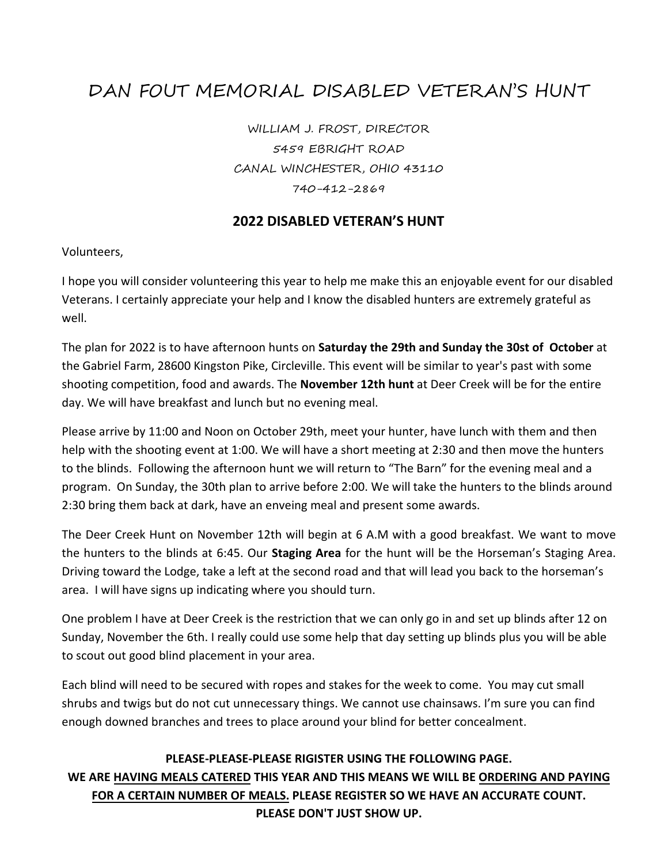# DAN FOUT MEMORIAL DISABLED VETERAN'S HUNT

WILLIAM J. FROST, DIRECTOR 5459 EBRIGHT ROAD CANAL WINCHESTER, OHIO 43110 740-412-2869

### **2022 DISABLED VETERAN'S HUNT**

Volunteers,

I hope you will consider volunteering this year to help me make this an enjoyable event for our disabled Veterans. I certainly appreciate your help and I know the disabled hunters are extremely grateful as well.

The plan for 2022 is to have afternoon hunts on **Saturday the 29th and Sunday the 30st of October** at the Gabriel Farm, 28600 Kingston Pike, Circleville. This event will be similar to year's past with some shooting competition, food and awards. The **November 12th hunt** at Deer Creek will be for the entire day. We will have breakfast and lunch but no evening meal.

Please arrive by 11:00 and Noon on October 29th, meet your hunter, have lunch with them and then help with the shooting event at 1:00. We will have a short meeting at 2:30 and then move the hunters to the blinds. Following the afternoon hunt we will return to "The Barn" for the evening meal and a program. On Sunday, the 30th plan to arrive before 2:00. We will take the hunters to the blinds around 2:30 bring them back at dark, have an enveing meal and present some awards.

The Deer Creek Hunt on November 12th will begin at 6 A.M with a good breakfast. We want to move the hunters to the blinds at 6:45. Our **Staging Area** for the hunt will be the Horseman's Staging Area. Driving toward the Lodge, take a left at the second road and that will lead you back to the horseman's area. I will have signs up indicating where you should turn.

One problem I have at Deer Creek is the restriction that we can only go in and set up blinds after 12 on Sunday, November the 6th. I really could use some help that day setting up blinds plus you will be able to scout out good blind placement in your area.

Each blind will need to be secured with ropes and stakes for the week to come. You may cut small shrubs and twigs but do not cut unnecessary things. We cannot use chainsaws. I'm sure you can find enough downed branches and trees to place around your blind for better concealment.

### **PLEASE-PLEASE-PLEASE RIGISTER USING THE FOLLOWING PAGE. WE ARE HAVING MEALS CATERED THIS YEAR AND THIS MEANS WE WILL BE ORDERING AND PAYING FOR A CERTAIN NUMBER OF MEALS. PLEASE REGISTER SO WE HAVE AN ACCURATE COUNT. PLEASE DON'T JUST SHOW UP.**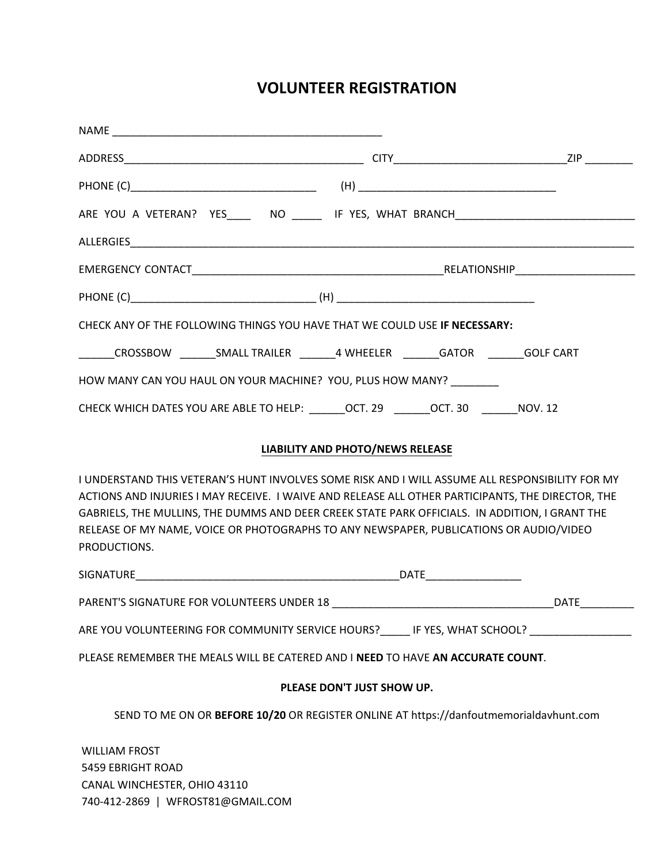# **VOLUNTEER REGISTRATION**

| CHECK ANY OF THE FOLLOWING THINGS YOU HAVE THAT WE COULD USE IF NECESSARY:                                                                                                                                                                                                                                                                                                                                       |                                                                                        |  |
|------------------------------------------------------------------------------------------------------------------------------------------------------------------------------------------------------------------------------------------------------------------------------------------------------------------------------------------------------------------------------------------------------------------|----------------------------------------------------------------------------------------|--|
| _______CROSSBOW ________SMALL TRAILER ________4 WHEELER ________GATOR ________GOLF CART                                                                                                                                                                                                                                                                                                                          |                                                                                        |  |
| HOW MANY CAN YOU HAUL ON YOUR MACHINE? YOU, PLUS HOW MANY?                                                                                                                                                                                                                                                                                                                                                       |                                                                                        |  |
| CHECK WHICH DATES YOU ARE ABLE TO HELP: _______OCT. 29 ______OCT. 30 ______NOV. 12                                                                                                                                                                                                                                                                                                                               |                                                                                        |  |
|                                                                                                                                                                                                                                                                                                                                                                                                                  |                                                                                        |  |
|                                                                                                                                                                                                                                                                                                                                                                                                                  | LIABILITY AND PHOTO/NEWS RELEASE                                                       |  |
| I UNDERSTAND THIS VETERAN'S HUNT INVOLVES SOME RISK AND I WILL ASSUME ALL RESPONSIBILITY FOR MY<br>ACTIONS AND INJURIES I MAY RECEIVE. I WAIVE AND RELEASE ALL OTHER PARTICIPANTS, THE DIRECTOR, THE<br>GABRIELS, THE MULLINS, THE DUMMS AND DEER CREEK STATE PARK OFFICIALS. IN ADDITION, I GRANT THE<br>RELEASE OF MY NAME, VOICE OR PHOTOGRAPHS TO ANY NEWSPAPER, PUBLICATIONS OR AUDIO/VIDEO<br>PRODUCTIONS. |                                                                                        |  |
|                                                                                                                                                                                                                                                                                                                                                                                                                  |                                                                                        |  |
| PARENT'S SIGNATURE FOR VOLUNTEERS UNDER 18                                                                                                                                                                                                                                                                                                                                                                       |                                                                                        |  |
| ARE YOU VOLUNTEERING FOR COMMUNITY SERVICE HOURS?_______IF YES, WHAT SCHOOL? _______________________                                                                                                                                                                                                                                                                                                             |                                                                                        |  |
| PLEASE REMEMBER THE MEALS WILL BE CATERED AND I NEED TO HAVE AN ACCURATE COUNT.                                                                                                                                                                                                                                                                                                                                  |                                                                                        |  |
|                                                                                                                                                                                                                                                                                                                                                                                                                  | PLEASE DON'T JUST SHOW UP.                                                             |  |
|                                                                                                                                                                                                                                                                                                                                                                                                                  | SEND TO ME ON OR BEFORE 10/20 OR REGISTER ONLINE AT https://danfoutmemorialdavhunt.com |  |
| <b>WILLIAM FROST</b><br><b>EAEQ ERDICHT DOAD</b>                                                                                                                                                                                                                                                                                                                                                                 |                                                                                        |  |

5459 EBRIGHT ROAD CANAL WINCHESTER, OHIO 43110 740-412-2869 | WFROST81@GMAIL.COM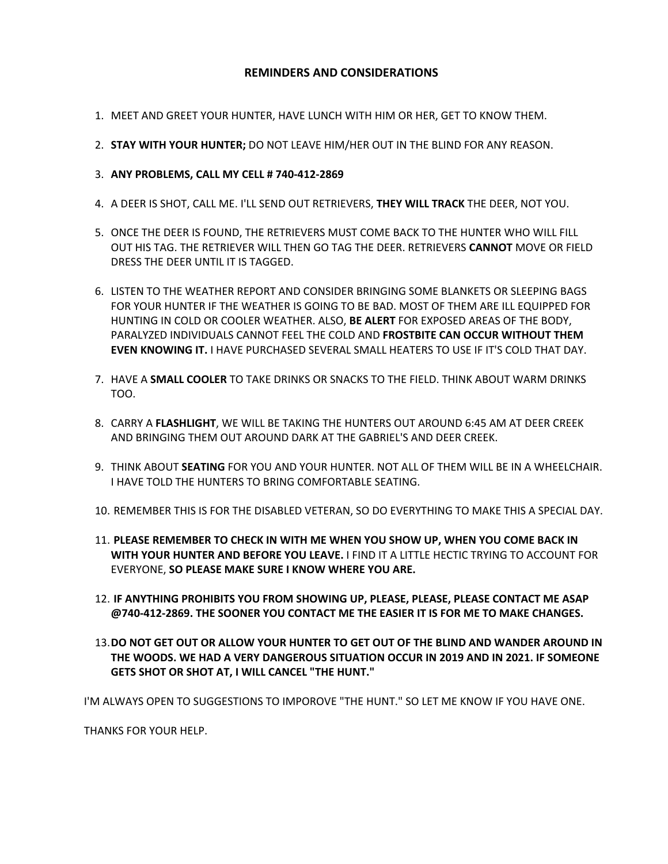#### **REMINDERS AND CONSIDERATIONS**

- 1. MEET AND GREET YOUR HUNTER, HAVE LUNCH WITH HIM OR HER, GET TO KNOW THEM.
- 2. **STAY WITH YOUR HUNTER;** DO NOT LEAVE HIM/HER OUT IN THE BLIND FOR ANY REASON.
- 3. **ANY PROBLEMS, CALL MY CELL # 740-412-2869**
- 4. A DEER IS SHOT, CALL ME. I'LL SEND OUT RETRIEVERS, **THEY WILL TRACK** THE DEER, NOT YOU.
- 5. ONCE THE DEER IS FOUND, THE RETRIEVERS MUST COME BACK TO THE HUNTER WHO WILL FILL OUT HIS TAG. THE RETRIEVER WILL THEN GO TAG THE DEER. RETRIEVERS **CANNOT** MOVE OR FIELD DRESS THE DEER UNTIL IT IS TAGGED.
- 6. LISTEN TO THE WEATHER REPORT AND CONSIDER BRINGING SOME BLANKETS OR SLEEPING BAGS FOR YOUR HUNTER IF THE WEATHER IS GOING TO BE BAD. MOST OF THEM ARE ILL EQUIPPED FOR HUNTING IN COLD OR COOLER WEATHER. ALSO, **BE ALERT** FOR EXPOSED AREAS OF THE BODY, PARALYZED INDIVIDUALS CANNOT FEEL THE COLD AND **FROSTBITE CAN OCCUR WITHOUT THEM EVEN KNOWING IT.** I HAVE PURCHASED SEVERAL SMALL HEATERS TO USE IF IT'S COLD THAT DAY.
- 7. HAVE A **SMALL COOLER** TO TAKE DRINKS OR SNACKS TO THE FIELD. THINK ABOUT WARM DRINKS TOO.
- 8. CARRY A **FLASHLIGHT**, WE WILL BE TAKING THE HUNTERS OUT AROUND 6:45 AM AT DEER CREEK AND BRINGING THEM OUT AROUND DARK AT THE GABRIEL'S AND DEER CREEK.
- 9. THINK ABOUT **SEATING** FOR YOU AND YOUR HUNTER. NOT ALL OF THEM WILL BE IN A WHEELCHAIR. I HAVE TOLD THE HUNTERS TO BRING COMFORTABLE SEATING.
- 10. REMEMBER THIS IS FOR THE DISABLED VETERAN, SO DO EVERYTHING TO MAKE THIS A SPECIAL DAY.
- 11. **PLEASE REMEMBER TO CHECK IN WITH ME WHEN YOU SHOW UP, WHEN YOU COME BACK IN WITH YOUR HUNTER AND BEFORE YOU LEAVE.** I FIND IT A LITTLE HECTIC TRYING TO ACCOUNT FOR EVERYONE, **SO PLEASE MAKE SURE I KNOW WHERE YOU ARE.**
- 12. **IF ANYTHING PROHIBITS YOU FROM SHOWING UP, PLEASE, PLEASE, PLEASE CONTACT ME ASAP @740-412-2869. THE SOONER YOU CONTACT ME THE EASIER IT IS FOR ME TO MAKE CHANGES.**
- 13.**DO NOT GET OUT OR ALLOW YOUR HUNTER TO GET OUT OF THE BLIND AND WANDER AROUND IN THE WOODS. WE HAD A VERY DANGEROUS SITUATION OCCUR IN 2019 AND IN 2021. IF SOMEONE GETS SHOT OR SHOT AT, I WILL CANCEL "THE HUNT."**

I'M ALWAYS OPEN TO SUGGESTIONS TO IMPOROVE "THE HUNT." SO LET ME KNOW IF YOU HAVE ONE.

THANKS FOR YOUR HELP.